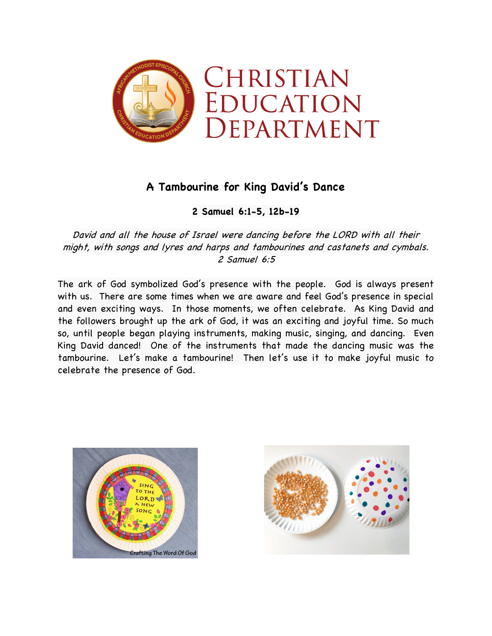

## **A Tambourine for King David's Dance**

**2 Samuel 6:1-5, 12b-19**

David and all the house of Israel were dancing before the LORD with all their might, with songs and lyres and harps and tambourines and castanets and cymbals. 2 Samuel 6:5

The ark of God symbolized God's presence with the people. God is always present with us. There are some times when we are aware and feel God's presence in special and even exciting ways. In those moments, we often celebrate. As King David and the followers brought up the ark of God, it was an exciting and joyful time. So much so, until people began playing instruments, making music, singing, and dancing. Even King David danced! One of the instruments that made the dancing music was the tambourine. Let's make a tambourine! Then let's use it to make joyful music to celebrate the presence of God.